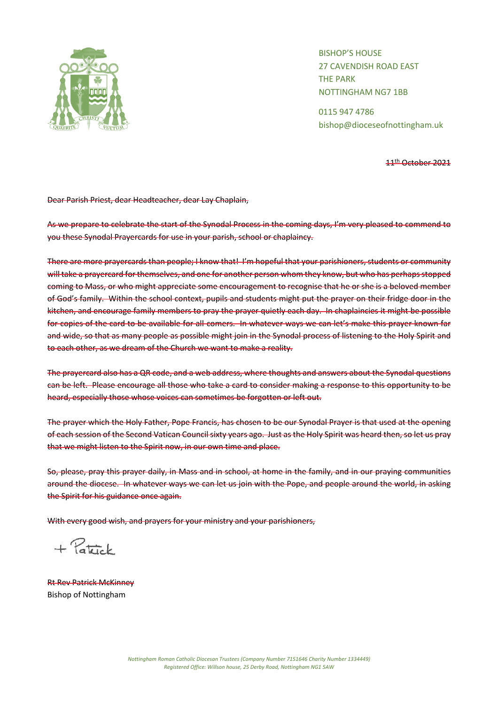

BISHOP'S HOUSE 27 CAVENDISH ROAD EAST THE PARK NOTTINGHAM NG7 1BB

0115 947 4786 bishop@dioceseofnottingham.uk

11th October 2021

Dear Parish Priest, dear Headteacher, dear Lay Chaplain,

As we prepare to celebrate the start of the Synodal Process in the coming days, I'm very pleased to commend to you these Synodal Prayercards for use in your parish, school or chaplaincy.

There are more prayercards than people; I know that! I'm hopeful that your parishioners, students or community will take a prayercard for themselves, and one for another person whom they know, but who has perhaps stopped coming to Mass, or who might appreciate some encouragement to recognise that he or she is a beloved member of God's family. Within the school context, pupils and students might put the prayer on their fridge door in the kitchen, and encourage family members to pray the prayer quietly each day. In chaplaincies it might be possible for copies of the card to be available for all-comers. In whatever ways we can let's make this prayer known far and wide, so that as many people as possible might join in the Synodal process of listening to the Holy Spirit and to each other, as we dream of the Church we want to make a reality.

The prayercard also has a QR code, and a web address, where thoughts and answers about the Synodal questions can be left. Please encourage all those who take a card to consider making a response to this opportunity to be heard, especially those whose voices can sometimes be forgotten or left out.

The prayer which the Holy Father, Pope Francis, has chosen to be our Synodal Prayer is that used at the opening of each session of the Second Vatican Council sixty years ago. Just as the Holy Spirit was heard then, so let us pray that we might listen to the Spirit now, in our own time and place.

So, please, pray this prayer daily, in Mass and in school, at home in the family, and in our praying communities around the diocese. In whatever ways we can let us join with the Pope, and people around the world, in asking the Spirit for his guidance once again.

With every good wish, and prayers for your ministry and your parishioners,

 $+$  Patrick

Rt Rev Patrick McKinney Bishop of Nottingham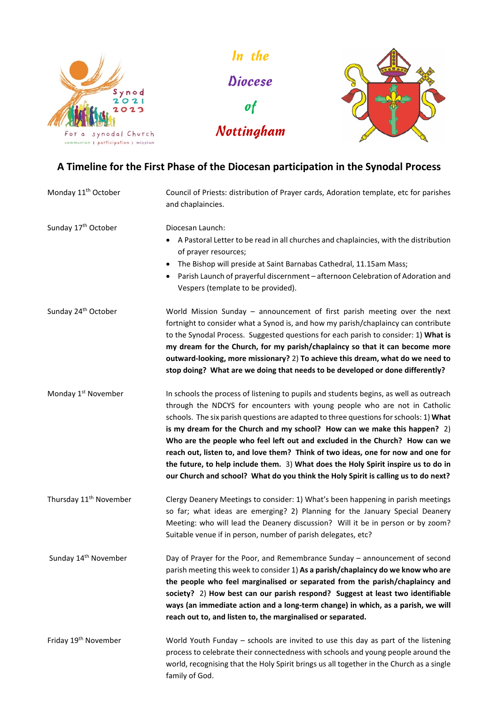

Diocese of Nottingham

In the



# **A Timeline for the First Phase of the Diocesan participation in the Synodal Process**

| Monday 11 <sup>th</sup> October    | Council of Priests: distribution of Prayer cards, Adoration template, etc for parishes<br>and chaplaincies.                                                                                                                                                                                                                                                                                                                                                                                                                                                                                                                                                                               |
|------------------------------------|-------------------------------------------------------------------------------------------------------------------------------------------------------------------------------------------------------------------------------------------------------------------------------------------------------------------------------------------------------------------------------------------------------------------------------------------------------------------------------------------------------------------------------------------------------------------------------------------------------------------------------------------------------------------------------------------|
| Sunday 17 <sup>th</sup> October    | Diocesan Launch:<br>A Pastoral Letter to be read in all churches and chaplaincies, with the distribution<br>$\bullet$<br>of prayer resources;<br>The Bishop will preside at Saint Barnabas Cathedral, 11.15am Mass;<br>$\bullet$<br>Parish Launch of prayerful discernment - afternoon Celebration of Adoration and<br>٠<br>Vespers (template to be provided).                                                                                                                                                                                                                                                                                                                            |
| Sunday 24 <sup>th</sup> October    | World Mission Sunday - announcement of first parish meeting over the next<br>fortnight to consider what a Synod is, and how my parish/chaplaincy can contribute<br>to the Synodal Process. Suggested questions for each parish to consider: 1) What is<br>my dream for the Church, for my parish/chaplaincy so that it can become more<br>outward-looking, more missionary? 2) To achieve this dream, what do we need to<br>stop doing? What are we doing that needs to be developed or done differently?                                                                                                                                                                                 |
| Monday 1 <sup>st</sup> November    | In schools the process of listening to pupils and students begins, as well as outreach<br>through the NDCYS for encounters with young people who are not in Catholic<br>schools. The six parish questions are adapted to three questions for schools: 1) What<br>is my dream for the Church and my school? How can we make this happen? 2)<br>Who are the people who feel left out and excluded in the Church? How can we<br>reach out, listen to, and love them? Think of two ideas, one for now and one for<br>the future, to help include them. 3) What does the Holy Spirit inspire us to do in<br>our Church and school? What do you think the Holy Spirit is calling us to do next? |
| Thursday 11 <sup>th</sup> November | Clergy Deanery Meetings to consider: 1) What's been happening in parish meetings<br>so far; what ideas are emerging? 2) Planning for the January Special Deanery<br>Meeting: who will lead the Deanery discussion? Will it be in person or by zoom?<br>Suitable venue if in person, number of parish delegates, etc?                                                                                                                                                                                                                                                                                                                                                                      |
| Sunday 14 <sup>th</sup> November   | Day of Prayer for the Poor, and Remembrance Sunday - announcement of second<br>parish meeting this week to consider 1) As a parish/chaplaincy do we know who are<br>the people who feel marginalised or separated from the parish/chaplaincy and<br>society? 2) How best can our parish respond? Suggest at least two identifiable<br>ways (an immediate action and a long-term change) in which, as a parish, we will<br>reach out to, and listen to, the marginalised or separated.                                                                                                                                                                                                     |
| Friday 19 <sup>th</sup> November   | World Youth Funday - schools are invited to use this day as part of the listening<br>process to celebrate their connectedness with schools and young people around the<br>world, recognising that the Holy Spirit brings us all together in the Church as a single<br>family of God.                                                                                                                                                                                                                                                                                                                                                                                                      |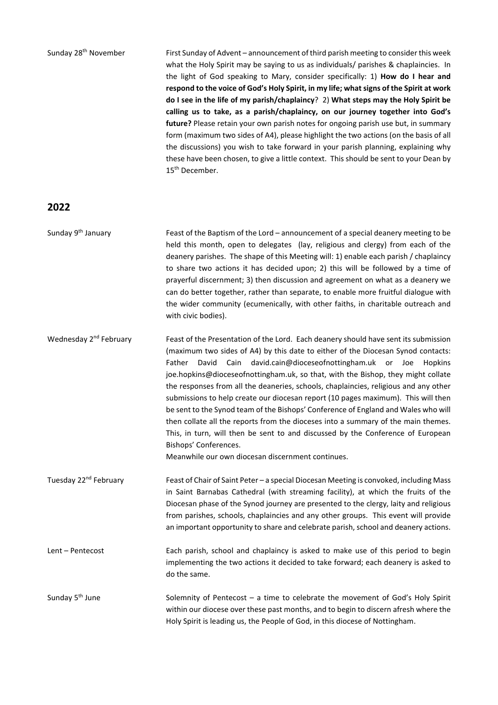Sunday 28<sup>th</sup> November First Sunday of Advent – announcement of third parish meeting to consider this week what the Holy Spirit may be saying to us as individuals/ parishes & chaplaincies. In the light of God speaking to Mary, consider specifically: 1) **How do I hear and respond to the voice of God's Holy Spirit, in my life; what signs of the Spirit at work do I see in the life of my parish/chaplaincy**? 2) **What steps may the Holy Spirit be calling us to take, as a parish/chaplaincy, on our journey together into God's future?** Please retain your own parish notes for ongoing parish use but, in summary form (maximum two sides of A4), please highlight the two actions (on the basis of all the discussions) you wish to take forward in your parish planning, explaining why these have been chosen, to give a little context. This should be sent to your Dean by 15<sup>th</sup> December.

## **2022**

Sunday  $9<sup>th</sup>$  January Feast of the Baptism of the Lord – announcement of a special deanery meeting to be held this month, open to delegates (lay, religious and clergy) from each of the deanery parishes. The shape of this Meeting will: 1) enable each parish / chaplaincy to share two actions it has decided upon; 2) this will be followed by a time of prayerful discernment; 3) then discussion and agreement on what as a deanery we can do better together, rather than separate, to enable more fruitful dialogue with the wider community (ecumenically, with other faiths, in charitable outreach and with civic bodies).

Wednesday 2<sup>nd</sup> February Feast of the Presentation of the Lord. Each deanery should have sent its submission (maximum two sides of A4) by this date to either of the Diocesan Synod contacts: Father David Cain david.cain@dioceseofnottingham.uk or Joe Hopkins joe.hopkins@dioceseofnottingham.uk, so that, with the Bishop, they might collate the responses from all the deaneries, schools, chaplaincies, religious and any other submissions to help create our diocesan report (10 pages maximum). This will then be sent to the Synod team of the Bishops' Conference of England and Wales who will then collate all the reports from the dioceses into a summary of the main themes. This, in turn, will then be sent to and discussed by the Conference of European Bishops' Conferences.

Meanwhile our own diocesan discernment continues.

Tuesday 22<sup>nd</sup> February Feast of Chair of Saint Peter – a special Diocesan Meeting is convoked, including Mass in Saint Barnabas Cathedral (with streaming facility), at which the fruits of the Diocesan phase of the Synod journey are presented to the clergy, laity and religious from parishes, schools, chaplaincies and any other groups. This event will provide an important opportunity to share and celebrate parish, school and deanery actions.

Lent – Pentecost Each parish, school and chaplaincy is asked to make use of this period to begin implementing the two actions it decided to take forward; each deanery is asked to do the same.

Sunday  $5<sup>th</sup>$  June Solemnity of Pentecost – a time to celebrate the movement of God's Holy Spirit within our diocese over these past months, and to begin to discern afresh where the Holy Spirit is leading us, the People of God, in this diocese of Nottingham.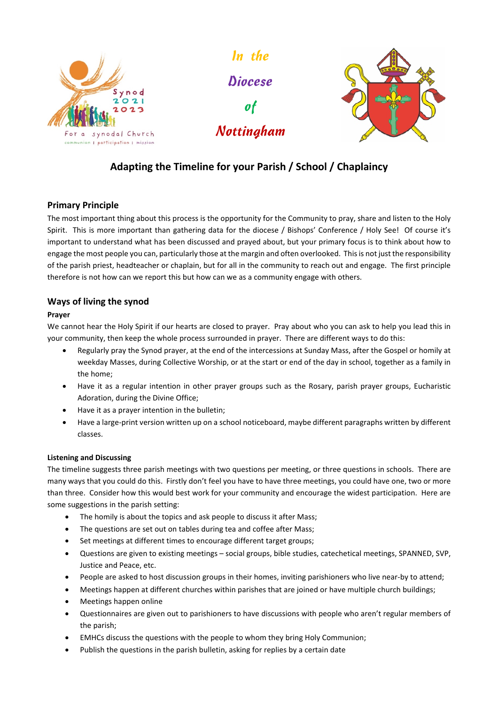

In the **Diocese** of Nottingham



## **Adapting the Timeline for your Parish / School / Chaplaincy**

## **Primary Principle**

The most important thing about this process is the opportunity for the Community to pray, share and listen to the Holy Spirit. This is more important than gathering data for the diocese / Bishops' Conference / Holy See! Of course it's important to understand what has been discussed and prayed about, but your primary focus is to think about how to engage the most people you can, particularly those at the margin and often overlooked. This is not just the responsibility of the parish priest, headteacher or chaplain, but for all in the community to reach out and engage. The first principle therefore is not how can we report this but how can we as a community engage with others.

## **Ways of living the synod**

## **Prayer**

We cannot hear the Holy Spirit if our hearts are closed to prayer. Pray about who you can ask to help you lead this in your community, then keep the whole process surrounded in prayer. There are different ways to do this:

- Regularly pray the Synod prayer, at the end of the intercessions at Sunday Mass, after the Gospel or homily at weekday Masses, during Collective Worship, or at the start or end of the day in school, together as a family in the home;
- Have it as a regular intention in other prayer groups such as the Rosary, parish prayer groups, Eucharistic Adoration, during the Divine Office;
- Have it as a prayer intention in the bulletin;
- Have a large-print version written up on a school noticeboard, maybe different paragraphs written by different classes.

### **Listening and Discussing**

The timeline suggests three parish meetings with two questions per meeting, or three questions in schools. There are many ways that you could do this. Firstly don't feel you have to have three meetings, you could have one, two or more than three. Consider how this would best work for your community and encourage the widest participation. Here are some suggestions in the parish setting:

- The homily is about the topics and ask people to discuss it after Mass;
- The questions are set out on tables during tea and coffee after Mass;
- Set meetings at different times to encourage different target groups;
- Questions are given to existing meetings social groups, bible studies, catechetical meetings, SPANNED, SVP, Justice and Peace, etc.
- People are asked to host discussion groups in their homes, inviting parishioners who live near-by to attend;
- Meetings happen at different churches within parishes that are joined or have multiple church buildings;
- Meetings happen online
- Questionnaires are given out to parishioners to have discussions with people who aren't regular members of the parish;
- EMHCs discuss the questions with the people to whom they bring Holy Communion;
- Publish the questions in the parish bulletin, asking for replies by a certain date